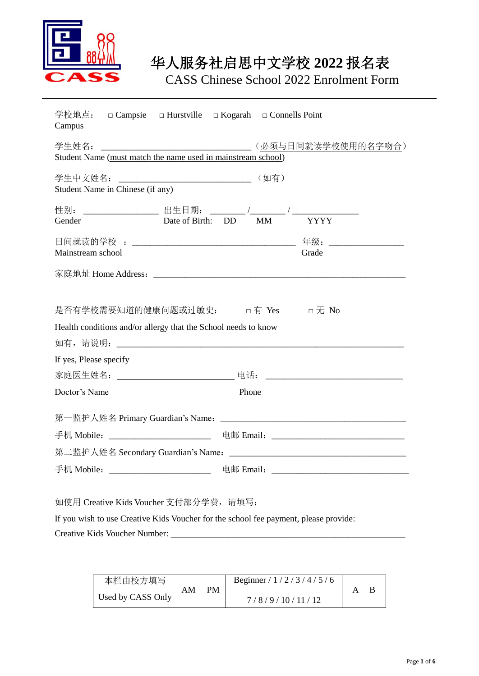

CASS Chinese School 2022 Enrolment Form

| 学校地点: □ Campsie □ Hurstville □ Kogarah □ Connells Point<br>Campus                                  |                                                                                  |
|----------------------------------------------------------------------------------------------------|----------------------------------------------------------------------------------|
| Student Name (must match the name used in mainstream school)                                       | (必须与日间就读学校使用的名字吻合)                                                               |
| Student Name in Chinese (if any)                                                                   |                                                                                  |
|                                                                                                    |                                                                                  |
| Date of Birth: DD<br>Gender                                                                        | MM YYYY                                                                          |
|                                                                                                    |                                                                                  |
| Mainstream school                                                                                  | Grade                                                                            |
|                                                                                                    |                                                                                  |
| 是否有学校需要知道的健康问题或过敏史: □有 Yes □无 No<br>Health conditions and/or allergy that the School needs to know |                                                                                  |
|                                                                                                    |                                                                                  |
| If yes, Please specify                                                                             |                                                                                  |
|                                                                                                    |                                                                                  |
| Doctor's Name                                                                                      | Phone                                                                            |
|                                                                                                    |                                                                                  |
|                                                                                                    | 手机 Mobile: __________________________ 电邮 Email: ________________________________ |
|                                                                                                    |                                                                                  |
|                                                                                                    | 手机 Mobile: _________________________ 电邮 Email: _________________________________ |
| 如使用 Creative Kids Voucher 支付部分学费, 请填写:                                                             |                                                                                  |
| If you wish to use Creative Kids Voucher for the school fee payment, please provide:               |                                                                                  |
|                                                                                                    |                                                                                  |

| 本栏由校方填写           |          |                | Beginner / $1/2/3/4/5/6$ |  |
|-------------------|----------|----------------|--------------------------|--|
| Used by CASS Only | PМ<br>AМ | 7/8/9/10/11/12 |                          |  |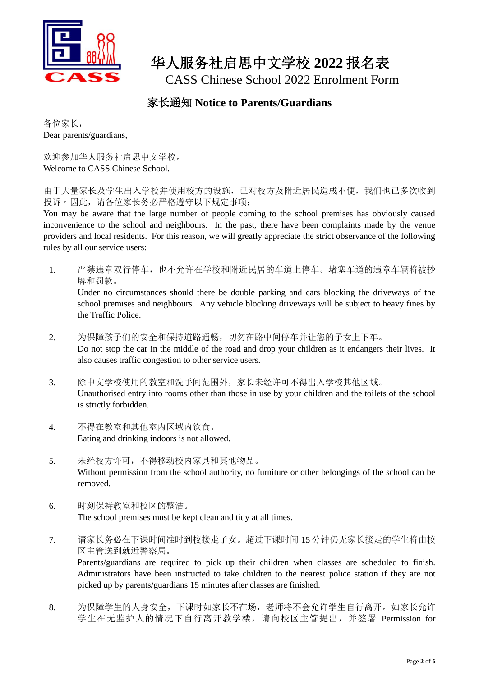

CASS Chinese School 2022 Enrolment Form

#### 家长通知 **Notice to Parents/Guardians**

各位家长, Dear parents/guardians,

欢迎参加华人服务社启思中文学校。 Welcome to CASS Chinese School.

由于大量家长及学生出入学校并使用校方的设施,已对校方及附近居民造成不便,我们也已多次收到 投诉。因此,请各位家长务必严格遵守以下规定事项:

You may be aware that the large number of people coming to the school premises has obviously caused inconvenience to the school and neighbours. In the past, there have been complaints made by the venue providers and local residents. For this reason, we will greatly appreciate the strict observance of the following rules by all our service users:

1. 严禁违章双行停车,也不允许在学校和附近民居的车道上停车。堵塞车道的违章车辆将被抄 牌和罚款。

Under no circumstances should there be double parking and cars blocking the driveways of the school premises and neighbours. Any vehicle blocking driveways will be subject to heavy fines by the Traffic Police.

- 2. 为保障孩子们的安全和保持道路通畅,切勿在路中间停车并让您的子女上下车。 Do not stop the car in the middle of the road and drop your children as it endangers their lives. It also causes traffic congestion to other service users.
- 3. 除中文学校使用的教室和洗手间范围外,家长未经许可不得出入学校其他区域。 Unauthorised entry into rooms other than those in use by your children and the toilets of the school is strictly forbidden.
- 4. 不得在教室和其他室内区域内饮食。 Eating and drinking indoors is not allowed.
- 5. 未经校方许可,不得移动校内家具和其他物品。 Without permission from the school authority, no furniture or other belongings of the school can be removed.
- 6. 时刻保持教室和校区的整洁。 The school premises must be kept clean and tidy at all times.
- 7. 请家长务必在下课时间准时到校接走子女。超过下课时间 15 分钟仍无家长接走的学生将由校 区主管送到就近警察局。 Parents/guardians are required to pick up their children when classes are scheduled to finish. Administrators have been instructed to take children to the nearest police station if they are not picked up by parents/guardians 15 minutes after classes are finished.
- 8. 为保障学生的人身安全,下课时如家长不在场,老师将不会允许学生自行离开。如家长允许 学生在无监护人的情况下自行离开教学楼,请向校区主管提出,并签署 Permission for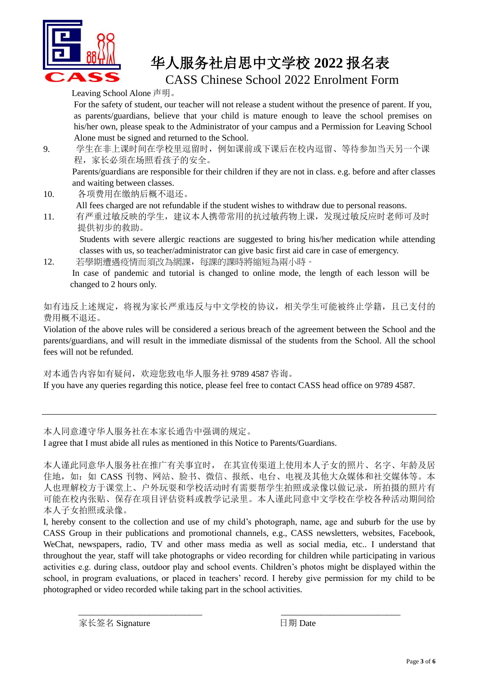

CASS Chinese School 2022 Enrolment Form

Leaving School Alone 声明。

For the safety of student, our teacher will not release a student without the presence of parent. If you, as parents/guardians, believe that your child is mature enough to leave the school premises on his/her own, please speak to the Administrator of your campus and a Permission for Leaving School Alone must be signed and returned to the School.

9. 学生在非上课时间在学校里逗留时,例如课前或下课后在校内逗留、等待参加当天另一个课 程,家长必须在场照看孩子的安全。

Parents/guardians are responsible for their children if they are not in class. e.g. before and after classes and waiting between classes.

- 10. 各项费用在缴纳后概不退还。 All fees charged are not refundable if the student wishes to withdraw due to personal reasons.
- 11. 有严重过敏反映的学生,建议本人携带常用的抗过敏药物上课,发现过敏反应时老师可及时 提供初步的救助。 Students with severe allergic reactions are suggested to bring his/her medication while attending

classes with us, so teacher/administrator can give basic first aid care in case of emergency. 12. 若學期遭遇疫情而須改為網課,每課的課時將縮短為兩小時。

In case of pandemic and tutorial is changed to online mode, the length of each lesson will be changed to 2 hours only.

如有违反上述规定,将视为家长严重违反与中文学校的协议,相关学生可能被终止学籍,且已支付的 费用概不退还。

Violation of the above rules will be considered a serious breach of the agreement between the School and the parents/guardians, and will result in the immediate dismissal of the students from the School. All the school fees will not be refunded.

对本通告内容如有疑问,欢迎您致电华人服务社 9789 4587 咨询。

If you have any queries regarding this notice, please feel free to contact CASS head office on 9789 4587.

本人同意遵守华人服务社在本家长通告中强调的规定。

I agree that I must abide all rules as mentioned in this Notice to Parents/Guardians.

本人谨此同意华人服务社在推广有关事宜时, 在其宣传渠道上使用本人子女的照片、名字、年龄及居 住地, 如: 如 CASS 刊物、网站、脸书、微信、报纸、电台、电视及其他大众媒体和社交媒体等。本 人也理解校方于课堂上、户外玩耍和学校活动时有需要帮学生拍照或录像以做记录,所拍摄的照片有 可能在校内张贴、保存在项目评估资料或教学记录里。本人谨此同意中文学校在学校各种活动期间给 本人子女拍照或录像。

I, hereby consent to the collection and use of my child's photograph, name, age and suburb for the use by CASS Group in their publications and promotional channels, e.g., CASS newsletters, websites, Facebook, WeChat, newspapers, radio, TV and other mass media as well as social media, etc.. I understand that throughout the year, staff will take photographs or video recording for children while participating in various activities e.g. during class, outdoor play and school events. Children's photos might be displayed within the school, in program evaluations, or placed in teachers' record. I hereby give permission for my child to be photographed or video recorded while taking part in the school activities.

\_\_\_\_\_\_\_\_\_\_\_\_\_\_\_\_\_\_\_\_\_\_\_\_\_\_\_\_ \_\_\_\_\_\_\_\_\_\_\_\_\_\_\_\_\_\_\_\_\_\_\_\_\_\_\_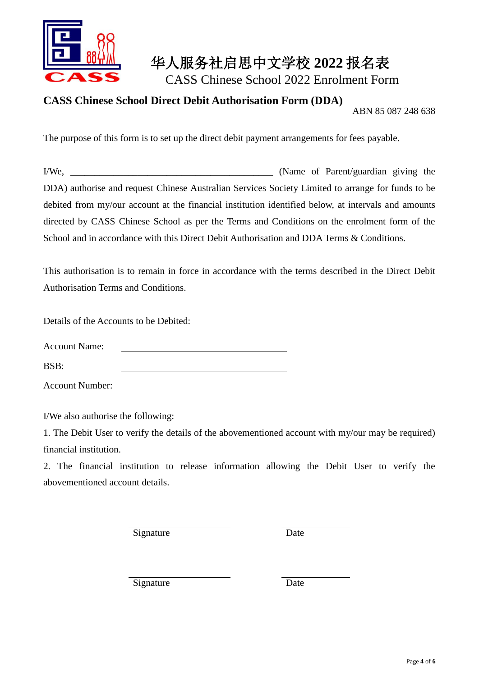

CASS Chinese School 2022 Enrolment Form

#### **CASS Chinese School Direct Debit Authorisation Form (DDA)**

ABN 85 087 248 638

The purpose of this form is to set up the direct debit payment arrangements for fees payable.

I/We, the same of Parent/guardian giving the same of Parent/guardian giving the same of Parent/guardian giving the same of Parent/guardian giving the same of Parent/guardian giving the same of Parent/guardian giving the sa DDA) authorise and request Chinese Australian Services Society Limited to arrange for funds to be debited from my/our account at the financial institution identified below, at intervals and amounts directed by CASS Chinese School as per the Terms and Conditions on the enrolment form of the School and in accordance with this Direct Debit Authorisation and DDA Terms & Conditions.

This authorisation is to remain in force in accordance with the terms described in the Direct Debit Authorisation Terms and Conditions.

Details of the Accounts to be Debited:

Account Name:

BSB:

Account Number:

I/We also authorise the following:

1. The Debit User to verify the details of the abovementioned account with my/our may be required) financial institution.

2. The financial institution to release information allowing the Debit User to verify the abovementioned account details.

Signature Date

Signature Date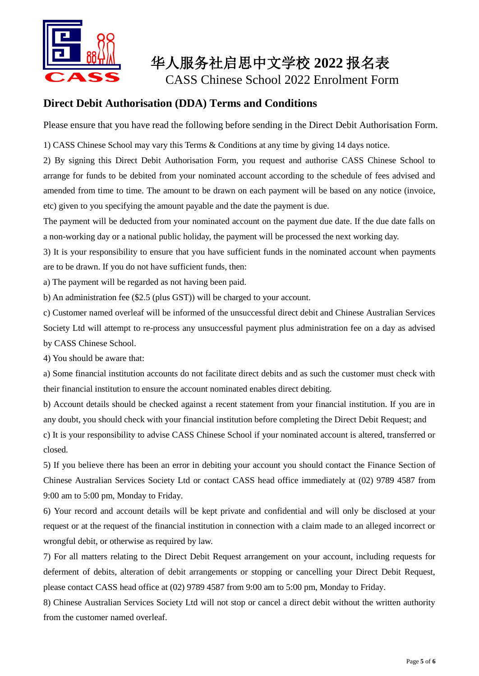

CASS Chinese School 2022 Enrolment Form

#### **Direct Debit Authorisation (DDA) Terms and Conditions**

Please ensure that you have read the following before sending in the Direct Debit Authorisation Form.

1) CASS Chinese School may vary this Terms & Conditions at any time by giving 14 days notice.

2) By signing this Direct Debit Authorisation Form, you request and authorise CASS Chinese School to arrange for funds to be debited from your nominated account according to the schedule of fees advised and amended from time to time. The amount to be drawn on each payment will be based on any notice (invoice, etc) given to you specifying the amount payable and the date the payment is due.

The payment will be deducted from your nominated account on the payment due date. If the due date falls on a non-working day or a national public holiday, the payment will be processed the next working day.

3) It is your responsibility to ensure that you have sufficient funds in the nominated account when payments are to be drawn. If you do not have sufficient funds, then:

a) The payment will be regarded as not having been paid.

b) An administration fee (\$2.5 (plus GST)) will be charged to your account.

c) Customer named overleaf will be informed of the unsuccessful direct debit and Chinese Australian Services Society Ltd will attempt to re-process any unsuccessful payment plus administration fee on a day as advised by CASS Chinese School.

4) You should be aware that:

a) Some financial institution accounts do not facilitate direct debits and as such the customer must check with their financial institution to ensure the account nominated enables direct debiting.

b) Account details should be checked against a recent statement from your financial institution. If you are in any doubt, you should check with your financial institution before completing the Direct Debit Request; and

c) It is your responsibility to advise CASS Chinese School if your nominated account is altered, transferred or closed.

5) If you believe there has been an error in debiting your account you should contact the Finance Section of Chinese Australian Services Society Ltd or contact CASS head office immediately at (02) 9789 4587 from 9:00 am to 5:00 pm, Monday to Friday.

6) Your record and account details will be kept private and confidential and will only be disclosed at your request or at the request of the financial institution in connection with a claim made to an alleged incorrect or wrongful debit, or otherwise as required by law.

7) For all matters relating to the Direct Debit Request arrangement on your account, including requests for deferment of debits, alteration of debit arrangements or stopping or cancelling your Direct Debit Request, please contact CASS head office at (02) 9789 4587 from 9:00 am to 5:00 pm, Monday to Friday.

8) Chinese Australian Services Society Ltd will not stop or cancel a direct debit without the written authority from the customer named overleaf.